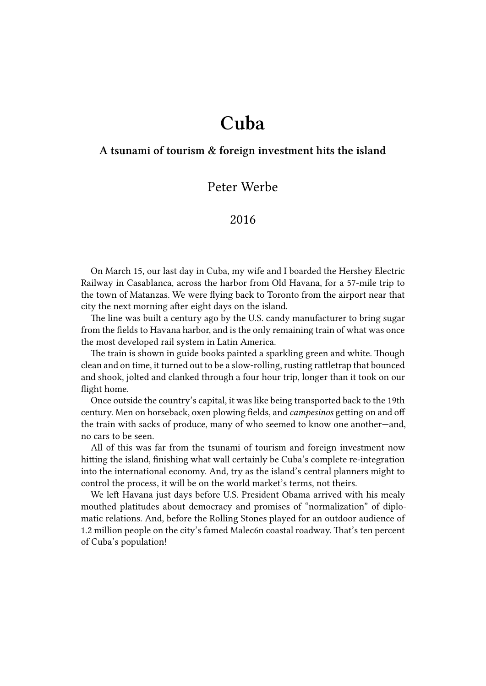## **Cuba**

## **A tsunami of tourism & foreign investment hits the island**

## Peter Werbe

## 2016

On March 15, our last day in Cuba, my wife and I boarded the Hershey Electric Railway in Casablanca, across the harbor from Old Havana, for a 57-mile trip to the town of Matanzas. We were flying back to Toronto from the airport near that city the next morning after eight days on the island.

The line was built a century ago by the U.S. candy manufacturer to bring sugar from the fields to Havana harbor, and is the only remaining train of what was once the most developed rail system in Latin America.

The train is shown in guide books painted a sparkling green and white. Though clean and on time, it turned out to be a slow-rolling, rusting rattletrap that bounced and shook, jolted and clanked through a four hour trip, longer than it took on our flight home.

Once outside the country's capital, it was like being transported back to the 19th century. Men on horseback, oxen plowing fields, and *campesinos* getting on and off the train with sacks of produce, many of who seemed to know one another—and, no cars to be seen.

All of this was far from the tsunami of tourism and foreign investment now hitting the island, finishing what wall certainly be Cuba's complete re-integration into the international economy. And, try as the island's central planners might to control the process, it will be on the world market's terms, not theirs.

We left Havana just days before U.S. President Obama arrived with his mealy mouthed platitudes about democracy and promises of "normalization" of diplomatic relations. And, before the Rolling Stones played for an outdoor audience of 1.2 million people on the city's famed Malec6n coastal roadway. That's ten percent of Cuba's population!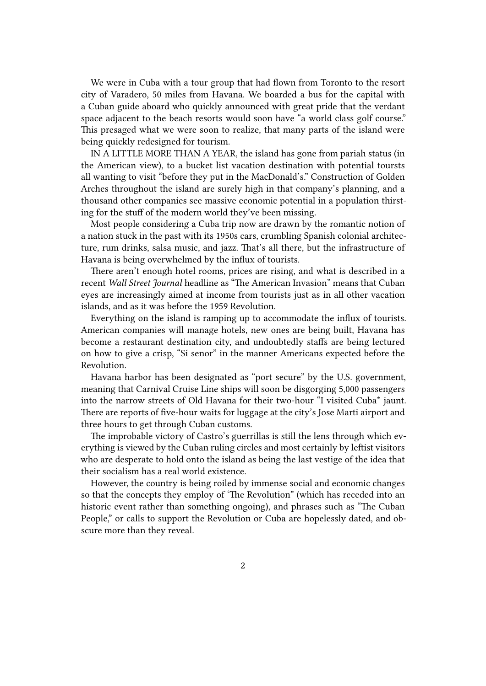We were in Cuba with a tour group that had flown from Toronto to the resort city of Varadero, 50 miles from Havana. We boarded a bus for the capital with a Cuban guide aboard who quickly announced with great pride that the verdant space adjacent to the beach resorts would soon have "a world class golf course." This presaged what we were soon to realize, that many parts of the island were being quickly redesigned for tourism.

IN A LITTLE MORE THAN A YEAR, the island has gone from pariah status (in the American view), to a bucket list vacation destination with potential toursts all wanting to visit "before they put in the MacDonald's." Construction of Golden Arches throughout the island are surely high in that company's planning, and a thousand other companies see massive economic potential in a population thirsting for the stuff of the modern world they've been missing.

Most people considering a Cuba trip now are drawn by the romantic notion of a nation stuck in the past with its 1950s cars, crumbling Spanish colonial architecture, rum drinks, salsa music, and jazz. That's all there, but the infrastructure of Havana is being overwhelmed by the influx of tourists.

There aren't enough hotel rooms, prices are rising, and what is described in a recent *Wall Street Journal* headline as "The American Invasion" means that Cuban eyes are increasingly aimed at income from tourists just as in all other vacation islands, and as it was before the 1959 Revolution.

Everything on the island is ramping up to accommodate the influx of tourists. American companies will manage hotels, new ones are being built, Havana has become a restaurant destination city, and undoubtedly staffs are being lectured on how to give a crisp, "Sí senor" in the manner Americans expected before the Revolution.

Havana harbor has been designated as "port secure" by the U.S. government, meaning that Carnival Cruise Line ships will soon be disgorging 5,000 passengers into the narrow streets of Old Havana for their two-hour "I visited Cuba\* jaunt. There are reports of five-hour waits for luggage at the city's Jose Marti airport and three hours to get through Cuban customs.

The improbable victory of Castro's guerrillas is still the lens through which everything is viewed by the Cuban ruling circles and most certainly by leftist visitors who are desperate to hold onto the island as being the last vestige of the idea that their socialism has a real world existence.

However, the country is being roiled by immense social and economic changes so that the concepts they employ of 'The Revolution" (which has receded into an historic event rather than something ongoing), and phrases such as "The Cuban People," or calls to support the Revolution or Cuba are hopelessly dated, and obscure more than they reveal.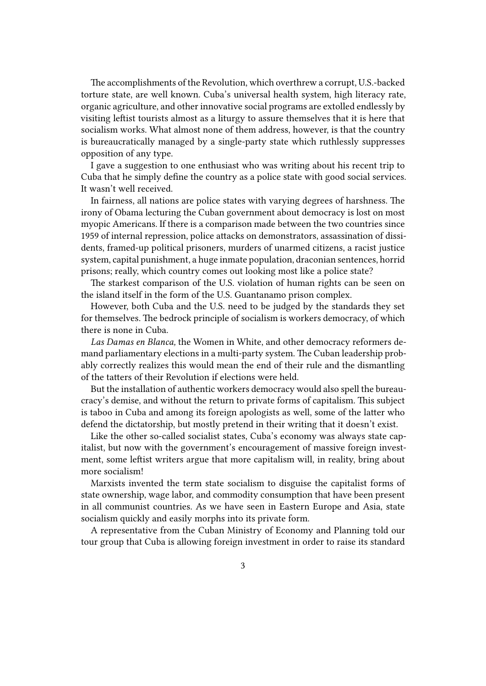The accomplishments of the Revolution, which overthrew a corrupt, U.S.-backed torture state, are well known. Cuba's universal health system, high literacy rate, organic agriculture, and other innovative social programs are extolled endlessly by visiting leftist tourists almost as a liturgy to assure themselves that it is here that socialism works. What almost none of them address, however, is that the country is bureaucratically managed by a single-party state which ruthlessly suppresses opposition of any type.

I gave a suggestion to one enthusiast who was writing about his recent trip to Cuba that he simply define the country as a police state with good social services. It wasn't well received.

In fairness, all nations are police states with varying degrees of harshness. The irony of Obama lecturing the Cuban government about democracy is lost on most myopic Americans. If there is a comparison made between the two countries since 1959 of internal repression, police attacks on demonstrators, assassination of dissidents, framed-up political prisoners, murders of unarmed citizens, a racist justice system, capital punishment, a huge inmate population, draconian sentences, horrid prisons; really, which country comes out looking most like a police state?

The starkest comparison of the U.S. violation of human rights can be seen on the island itself in the form of the U.S. Guantanamo prison complex.

However, both Cuba and the U.S. need to be judged by the standards they set for themselves. The bedrock principle of socialism is workers democracy, of which there is none in Cuba.

*Las Damas en Blanca,* the Women in White, and other democracy reformers demand parliamentary elections in a multi-party system. The Cuban leadership probably correctly realizes this would mean the end of their rule and the dismantling of the tatters of their Revolution if elections were held.

But the installation of authentic workers democracy would also spell the bureaucracy's demise, and without the return to private forms of capitalism. This subject is taboo in Cuba and among its foreign apologists as well, some of the latter who defend the dictatorship, but mostly pretend in their writing that it doesn't exist.

Like the other so-called socialist states, Cuba's economy was always state capitalist, but now with the government's encouragement of massive foreign investment, some leftist writers argue that more capitalism will, in reality, bring about more socialism!

Marxists invented the term state socialism to disguise the capitalist forms of state ownership, wage labor, and commodity consumption that have been present in all communist countries. As we have seen in Eastern Europe and Asia, state socialism quickly and easily morphs into its private form.

A representative from the Cuban Ministry of Economy and Planning told our tour group that Cuba is allowing foreign investment in order to raise its standard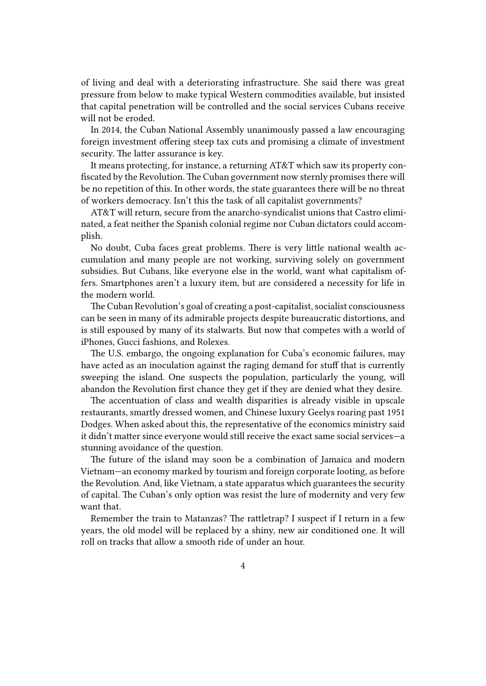of living and deal with a deteriorating infrastructure. She said there was great pressure from below to make typical Western commodities available, but insisted that capital penetration will be controlled and the social services Cubans receive will not be eroded.

In 2014, the Cuban National Assembly unanimously passed a law encouraging foreign investment offering steep tax cuts and promising a climate of investment security. The latter assurance is key.

It means protecting, for instance, a returning AT&T which saw its property confiscated by the Revolution. The Cuban government now sternly promises there will be no repetition of this. In other words, the state guarantees there will be no threat of workers democracy. Isn't this the task of all capitalist governments?

AT&T will return, secure from the anarcho-syndicalist unions that Castro eliminated, a feat neither the Spanish colonial regime nor Cuban dictators could accomplish.

No doubt, Cuba faces great problems. There is very little national wealth accumulation and many people are not working, surviving solely on government subsidies. But Cubans, like everyone else in the world, want what capitalism offers. Smartphones aren't a luxury item, but are considered a necessity for life in the modern world.

The Cuban Revolution's goal of creating a post-capitalist, socialist consciousness can be seen in many of its admirable projects despite bureaucratic distortions, and is still espoused by many of its stalwarts. But now that competes with a world of iPhones, Gucci fashions, and Rolexes.

The U.S. embargo, the ongoing explanation for Cuba's economic failures, may have acted as an inoculation against the raging demand for stuff that is currently sweeping the island. One suspects the population, particularly the young, will abandon the Revolution first chance they get if they are denied what they desire.

The accentuation of class and wealth disparities is already visible in upscale restaurants, smartly dressed women, and Chinese luxury Geelys roaring past 1951 Dodges. When asked about this, the representative of the economics ministry said it didn't matter since everyone would still receive the exact same social services—a stunning avoidance of the question.

The future of the island may soon be a combination of Jamaica and modern Vietnam—an economy marked by tourism and foreign corporate looting, as before the Revolution. And, like Vietnam, a state apparatus which guarantees the security of capital. The Cuban's only option was resist the lure of modernity and very few want that.

Remember the train to Matanzas? The rattletrap? I suspect if I return in a few years, the old model will be replaced by a shiny, new air conditioned one. It will roll on tracks that allow a smooth ride of under an hour.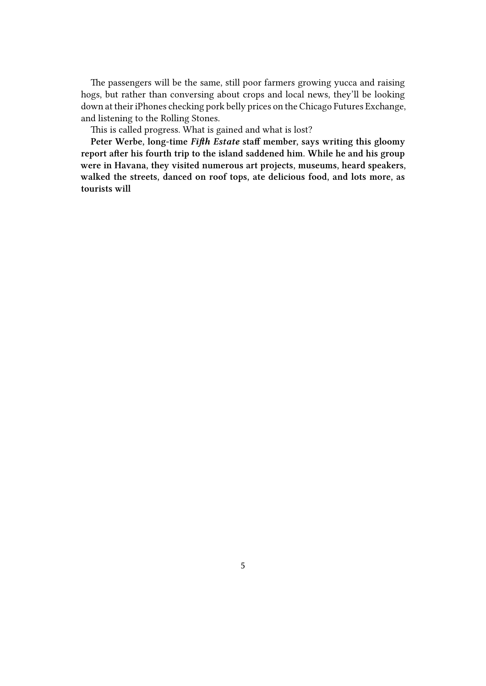The passengers will be the same, still poor farmers growing yucca and raising hogs, but rather than conversing about crops and local news, they'll be looking down at their iPhones checking pork belly prices on the Chicago Futures Exchange, and listening to the Rolling Stones.

This is called progress. What is gained and what is lost?

**Peter Werbe, long-time** *Fifth Estate* **staff member, says writing this gloomy report after his fourth trip to the island saddened him. While he and his group were in Havana, they visited numerous art projects, museums, heard speakers, walked the streets, danced on roof tops, ate delicious food, and lots more, as tourists will**